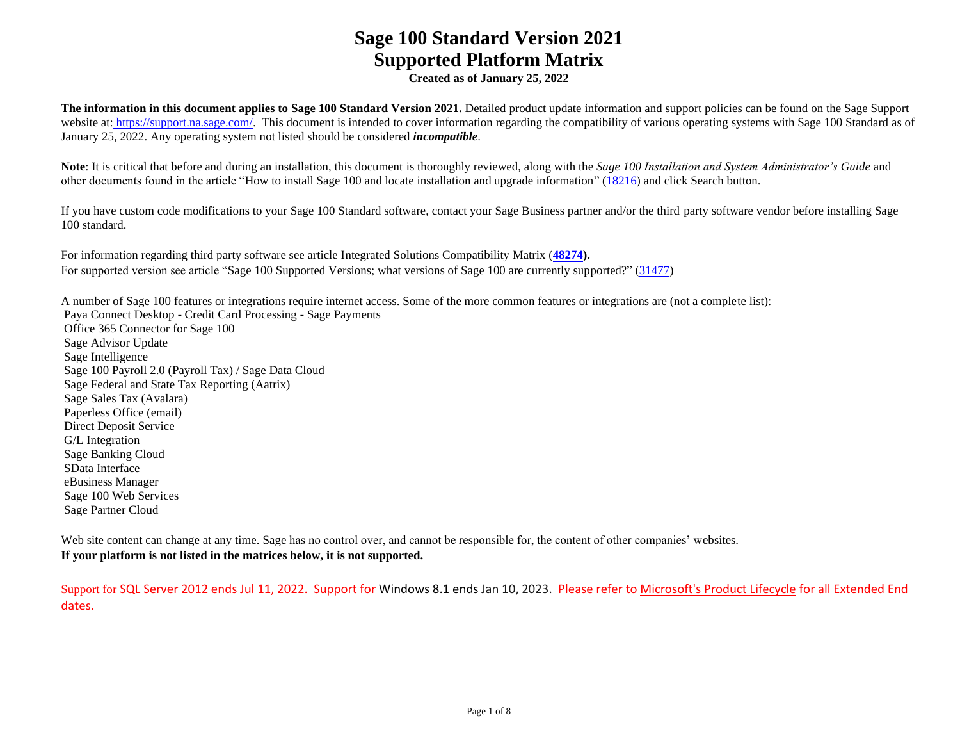**Created as of January 25, 2022**

**The information in this document applies to Sage 100 Standard Version 2021.** Detailed product update information and support policies can be found on the Sage Support website at: [https://support.na.sage.com/.](https://support.na.sage.com/) This document is intended to cover information regarding the compatibility of various operating systems with Sage 100 Standard as of January 25, 2022. Any operating system not listed should be considered *incompatible*.

**Note**: It is critical that before and during an installation, this document is thoroughly reviewed, along with the *Sage 100 Installation and System Administrator's Guide* and other documents found in the article "How to install Sage 100 and locate installation and upgrade information" [\(18216\)](https://support.na.sage.com/selfservice/viewdocument.do?noCount=true&externalId=18216&sliceId=1&cmd=displayKC&dialogID=113151&docType=kc&noCount=true&isLoadPublishedVer=&stateId=113158&docTypeID=DT_Article&ViewedDocsListHelper=com.kanisa.apps.common.BaseViewedDocsListHelperImpl) and click Search button.

If you have custom code modifications to your Sage 100 Standard software, contact your Sage Business partner and/or the third party software vendor before installing Sage 100 standard.

For information regarding third party software see article Integrated Solutions Compatibility Matrix (**[48274\)](https://support.na.sage.com/selfservice/viewdocument.do?noCount=true&externalId=48274&sliceId=1&dialogID=113151&cmd=displayKC&docType=kc&noCount=true&stateId=113158&isLoadPublishedVer=&docTypeID=DT_Article&ViewedDocsListHelper=com.kanisa.apps.common.BaseViewedDocsListHelperImpl).** For supported version see article "Sage 100 Supported Versions; what versions of Sage 100 are currently supported?" [\(31477\)](https://support.na.sage.com/selfservice/viewdocument.do?noCount=true&externalId=31477&sliceId=1&cmd=displayKC&dialogID=113151&docType=kc&noCount=true&isLoadPublishedVer=&stateId=113158&docTypeID=DT_Article&ViewedDocsListHelper=com.kanisa.apps.common.BaseViewedDocsListHelperImpl)

A number of Sage 100 features or integrations require internet access. Some of the more common features or integrations are (not a complete list): Paya Connect Desktop - Credit Card Processing - Sage Payments Office 365 Connector for Sage 100 Sage Advisor Update Sage Intelligence Sage 100 Payroll 2.0 (Payroll Tax) / Sage Data Cloud Sage Federal and State Tax Reporting (Aatrix) Sage Sales Tax (Avalara) Paperless Office (email) Direct Deposit Service G/L Integration Sage Banking Cloud SData Interface eBusiness Manager Sage 100 Web Services Sage Partner Cloud

Web site content can change at any time. Sage has no control over, and cannot be responsible for, the content of other companies' websites. **If your platform is not listed in the matrices below, it is not supported.**

Support for SQL Server 2012 ends Jul 11, 2022. Support for Windows 8.1 ends Jan 10, 2023. Please refer to [Microsoft's Product Lifecycle](https://docs.microsoft.com/en-us/lifecycle/) for all Extended End dates.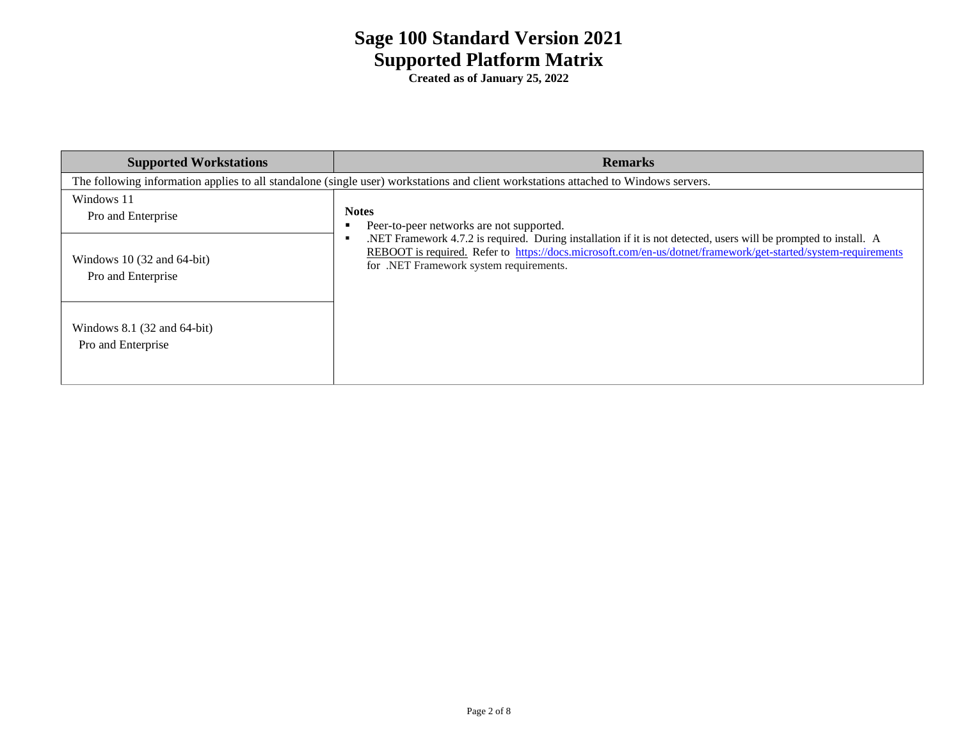| <b>Supported Workstations</b>                                                                                                       | <b>Remarks</b>                                                                                                                                                                                                                                                                 |  |  |  |
|-------------------------------------------------------------------------------------------------------------------------------------|--------------------------------------------------------------------------------------------------------------------------------------------------------------------------------------------------------------------------------------------------------------------------------|--|--|--|
| The following information applies to all standalone (single user) workstations and client workstations attached to Windows servers. |                                                                                                                                                                                                                                                                                |  |  |  |
| Windows 11<br>Pro and Enterprise                                                                                                    | <b>Notes</b><br>Peer-to-peer networks are not supported.                                                                                                                                                                                                                       |  |  |  |
| Windows 10 $(32 \text{ and } 64$ -bit)<br>Pro and Enterprise                                                                        | .NET Framework 4.7.2 is required. During installation if it is not detected, users will be prompted to install. A<br>REBOOT is required. Refer to https://docs.microsoft.com/en-us/dotnet/framework/get-started/system-requirements<br>for .NET Framework system requirements. |  |  |  |
| Windows $8.1$ (32 and $64$ -bit)<br>Pro and Enterprise                                                                              |                                                                                                                                                                                                                                                                                |  |  |  |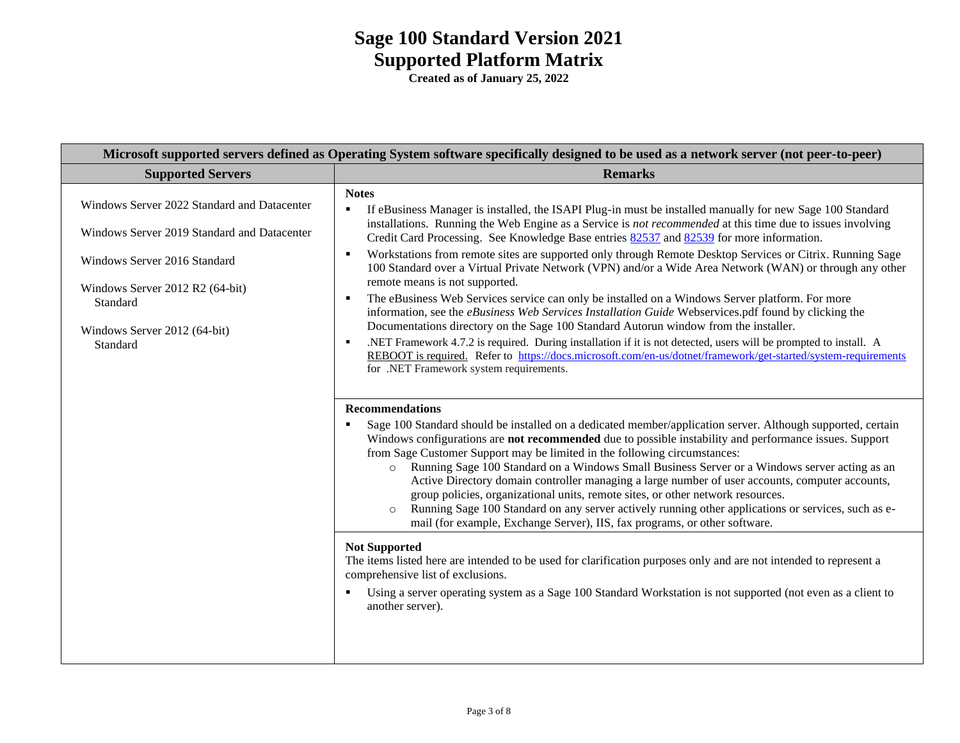| Microsoft supported servers defined as Operating System software specifically designed to be used as a network server (not peer-to-peer) |                                                                                                                                                                                                                                                                                                                                                                                                                                                                                                                                                                                                                                                                   |  |  |  |
|------------------------------------------------------------------------------------------------------------------------------------------|-------------------------------------------------------------------------------------------------------------------------------------------------------------------------------------------------------------------------------------------------------------------------------------------------------------------------------------------------------------------------------------------------------------------------------------------------------------------------------------------------------------------------------------------------------------------------------------------------------------------------------------------------------------------|--|--|--|
| <b>Supported Servers</b>                                                                                                                 | <b>Remarks</b>                                                                                                                                                                                                                                                                                                                                                                                                                                                                                                                                                                                                                                                    |  |  |  |
| Windows Server 2022 Standard and Datacenter                                                                                              | <b>Notes</b><br>If eBusiness Manager is installed, the ISAPI Plug-in must be installed manually for new Sage 100 Standard<br>П<br>installations. Running the Web Engine as a Service is not recommended at this time due to issues involving                                                                                                                                                                                                                                                                                                                                                                                                                      |  |  |  |
| Windows Server 2019 Standard and Datacenter                                                                                              | Credit Card Processing. See Knowledge Base entries 82537 and 82539 for more information.                                                                                                                                                                                                                                                                                                                                                                                                                                                                                                                                                                          |  |  |  |
| Windows Server 2016 Standard                                                                                                             | Workstations from remote sites are supported only through Remote Desktop Services or Citrix. Running Sage<br>$\blacksquare$<br>100 Standard over a Virtual Private Network (VPN) and/or a Wide Area Network (WAN) or through any other                                                                                                                                                                                                                                                                                                                                                                                                                            |  |  |  |
| Windows Server 2012 R2 (64-bit)<br>Standard<br>Windows Server 2012 (64-bit)<br>Standard                                                  | remote means is not supported.<br>The eBusiness Web Services service can only be installed on a Windows Server platform. For more<br>٠<br>information, see the eBusiness Web Services Installation Guide Webservices.pdf found by clicking the<br>Documentations directory on the Sage 100 Standard Autorun window from the installer.<br>.NET Framework 4.7.2 is required. During installation if it is not detected, users will be prompted to install. A<br>٠<br>REBOOT is required. Refer to https://docs.microsoft.com/en-us/dotnet/framework/get-started/system-requirements<br>for .NET Framework system requirements.                                     |  |  |  |
|                                                                                                                                          | <b>Recommendations</b><br>Sage 100 Standard should be installed on a dedicated member/application server. Although supported, certain<br>П                                                                                                                                                                                                                                                                                                                                                                                                                                                                                                                        |  |  |  |
|                                                                                                                                          | Windows configurations are not recommended due to possible instability and performance issues. Support<br>from Sage Customer Support may be limited in the following circumstances:<br>o Running Sage 100 Standard on a Windows Small Business Server or a Windows server acting as an<br>Active Directory domain controller managing a large number of user accounts, computer accounts,<br>group policies, organizational units, remote sites, or other network resources.<br>Running Sage 100 Standard on any server actively running other applications or services, such as e-<br>mail (for example, Exchange Server), IIS, fax programs, or other software. |  |  |  |
|                                                                                                                                          | <b>Not Supported</b><br>The items listed here are intended to be used for clarification purposes only and are not intended to represent a<br>comprehensive list of exclusions.                                                                                                                                                                                                                                                                                                                                                                                                                                                                                    |  |  |  |
|                                                                                                                                          | Using a server operating system as a Sage 100 Standard Workstation is not supported (not even as a client to<br>п<br>another server).                                                                                                                                                                                                                                                                                                                                                                                                                                                                                                                             |  |  |  |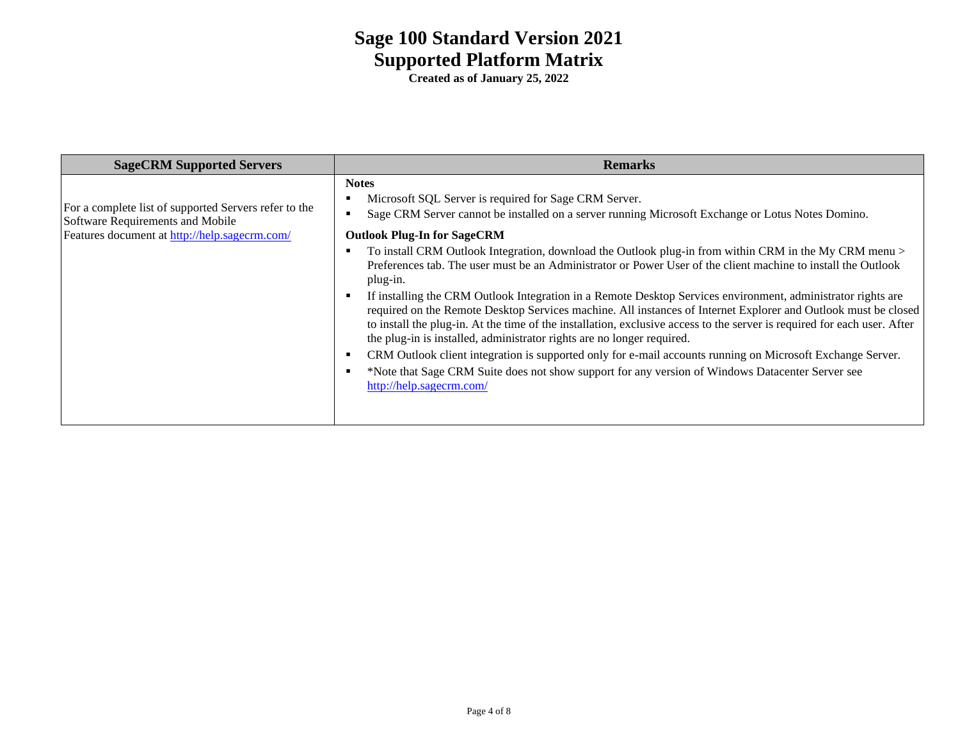| <b>SageCRM Supported Servers</b>                                                                                                           | <b>Remarks</b>                                                                                                                                                                                                                                                                                                                                                                                                                                                                                                                                                                                                                                                                                                                                                                                                                                                                                 |
|--------------------------------------------------------------------------------------------------------------------------------------------|------------------------------------------------------------------------------------------------------------------------------------------------------------------------------------------------------------------------------------------------------------------------------------------------------------------------------------------------------------------------------------------------------------------------------------------------------------------------------------------------------------------------------------------------------------------------------------------------------------------------------------------------------------------------------------------------------------------------------------------------------------------------------------------------------------------------------------------------------------------------------------------------|
| For a complete list of supported Servers refer to the<br>Software Requirements and Mobile<br>Features document at http://help.sagecrm.com/ | <b>Notes</b><br>Microsoft SQL Server is required for Sage CRM Server.<br>Sage CRM Server cannot be installed on a server running Microsoft Exchange or Lotus Notes Domino.<br><b>Outlook Plug-In for SageCRM</b><br>To install CRM Outlook Integration, download the Outlook plug-in from within CRM in the My CRM menu ><br>Preferences tab. The user must be an Administrator or Power User of the client machine to install the Outlook<br>plug-in.<br>If installing the CRM Outlook Integration in a Remote Desktop Services environment, administrator rights are<br>required on the Remote Desktop Services machine. All instances of Internet Explorer and Outlook must be closed<br>to install the plug-in. At the time of the installation, exclusive access to the server is required for each user. After<br>the plug-in is installed, administrator rights are no longer required. |
|                                                                                                                                            | CRM Outlook client integration is supported only for e-mail accounts running on Microsoft Exchange Server.<br>*Note that Sage CRM Suite does not show support for any version of Windows Datacenter Server see<br>http://help.sagecrm.com/                                                                                                                                                                                                                                                                                                                                                                                                                                                                                                                                                                                                                                                     |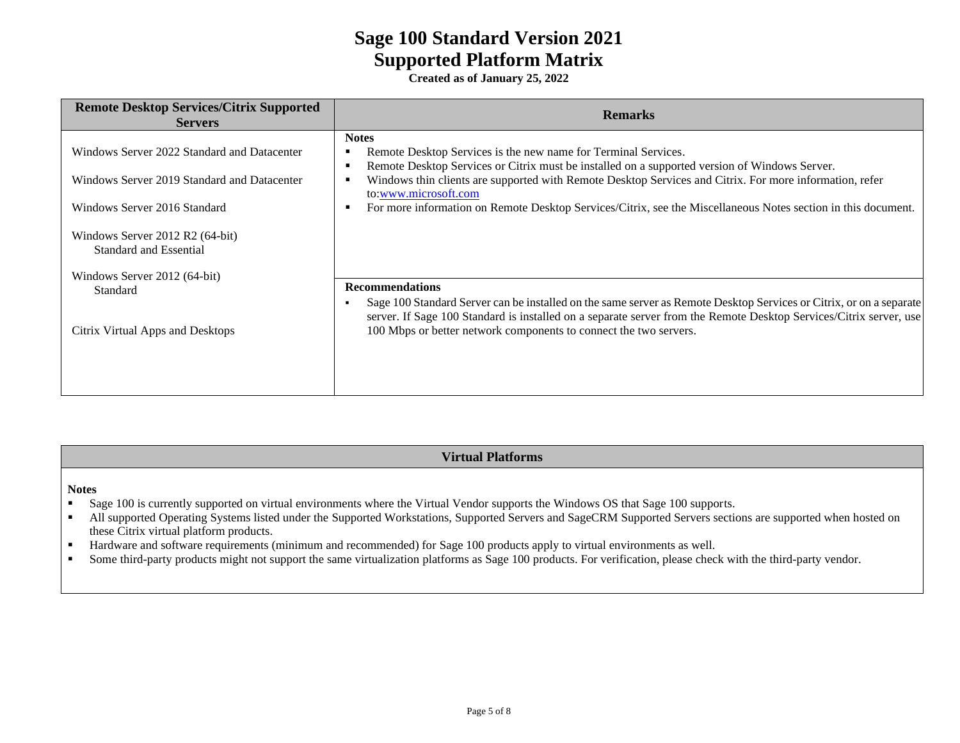**Created as of January 25, 2022**

| <b>Remote Desktop Services/Citrix Supported</b><br><b>Servers</b>                          | <b>Remarks</b>                                                                                                                                                                                                                                                                                                               |
|--------------------------------------------------------------------------------------------|------------------------------------------------------------------------------------------------------------------------------------------------------------------------------------------------------------------------------------------------------------------------------------------------------------------------------|
| Windows Server 2022 Standard and Datacenter<br>Windows Server 2019 Standard and Datacenter | <b>Notes</b><br>Remote Desktop Services is the new name for Terminal Services.<br>Remote Desktop Services or Citrix must be installed on a supported version of Windows Server.<br>л<br>Windows thin clients are supported with Remote Desktop Services and Citrix. For more information, refer<br>л<br>to:www.microsoft.com |
| Windows Server 2016 Standard                                                               | For more information on Remote Desktop Services/Citrix, see the Miscellaneous Notes section in this document.<br>×                                                                                                                                                                                                           |
| Windows Server 2012 R2 (64-bit)<br><b>Standard and Essential</b>                           |                                                                                                                                                                                                                                                                                                                              |
| Windows Server 2012 (64-bit)<br>Standard                                                   | <b>Recommendations</b><br>Sage 100 Standard Server can be installed on the same server as Remote Desktop Services or Citrix, or on a separate<br>$\blacksquare$<br>server. If Sage 100 Standard is installed on a separate server from the Remote Desktop Services/Citrix server, use                                        |
| Citrix Virtual Apps and Desktops                                                           | 100 Mbps or better network components to connect the two servers.                                                                                                                                                                                                                                                            |

#### **Virtual Platforms**

#### **Notes**

- **•** Sage 100 is currently supported on virtual environments where the Virtual Vendor supports the Windows OS that Sage 100 supports.
- All supported Operating Systems listed under the Supported Workstations, Supported Servers and SageCRM Supported Servers sections are supported when hosted on these Citrix virtual platform products.
- Hardware and software requirements (minimum and recommended) for Sage 100 products apply to virtual environments as well.
- Some third-party products might not support the same virtualization platforms as Sage 100 products. For verification, please check with the third-party vendor.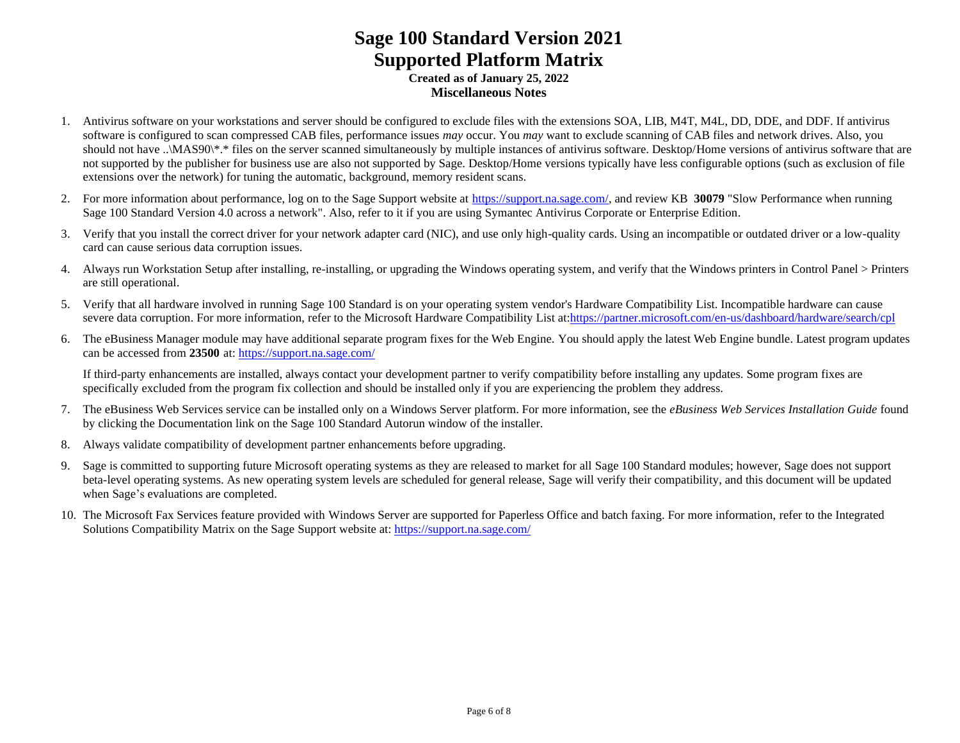### **Sage 100 Standard Version 2021 Supported Platform Matrix Created as of January 25, 2022 Miscellaneous Notes**

- 1. Antivirus software on your workstations and server should be configured to exclude files with the extensions SOA, LIB, M4T, M4L, DD, DDE, and DDF. If antivirus software is configured to scan compressed CAB files, performance issues *may* occur. You *may* want to exclude scanning of CAB files and network drives. Also, you should not have ..\MAS90\\*.\* files on the server scanned simultaneously by multiple instances of antivirus software. Desktop/Home versions of antivirus software that are not supported by the publisher for business use are also not supported by Sage. Desktop/Home versions typically have less configurable options (such as exclusion of file extensions over the network) for tuning the automatic, background, memory resident scans.
- 2. For more information about performance, log on to the Sage Support website at [https://support.na.sage.com/,](https://support.na.sage.com/) and review KB **30079** "Slow Performance when running Sage 100 Standard Version 4.0 across a network". Also, refer to it if you are using Symantec Antivirus Corporate or Enterprise Edition.
- 3. Verify that you install the correct driver for your network adapter card (NIC), and use only high-quality cards. Using an incompatible or outdated driver or a low-quality card can cause serious data corruption issues.
- 4. Always run Workstation Setup after installing, re-installing, or upgrading the Windows operating system, and verify that the Windows printers in Control Panel > Printers are still operational.
- 5. Verify that all hardware involved in running Sage 100 Standard is on your operating system vendor's Hardware Compatibility List. Incompatible hardware can cause severe data corruption. For more information, refer to the Microsoft Hardware Compatibility List at[:https://partner.microsoft.com/en-us/dashboard/hardware/search/cpl](https://partner.microsoft.com/en-us/dashboard/hardware/search/cpl)
- 6. The eBusiness Manager module may have additional separate program fixes for the Web Engine. You should apply the latest Web Engine bundle. Latest program updates can be accessed from **23500** at: <https://support.na.sage.com/>

If third-party enhancements are installed, always contact your development partner to verify compatibility before installing any updates. Some program fixes are specifically excluded from the program fix collection and should be installed only if you are experiencing the problem they address.

- 7. The eBusiness Web Services service can be installed only on a Windows Server platform. For more information, see the *eBusiness Web Services Installation Guide* found by clicking the Documentation link on the Sage 100 Standard Autorun window of the installer.
- 8. Always validate compatibility of development partner enhancements before upgrading.
- 9. Sage is committed to supporting future Microsoft operating systems as they are released to market for all Sage 100 Standard modules; however, Sage does not support beta-level operating systems. As new operating system levels are scheduled for general release, Sage will verify their compatibility, and this document will be updated when Sage's evaluations are completed.
- 10. The Microsoft Fax Services feature provided with Windows Server are supported for Paperless Office and batch faxing. For more information, refer to the Integrated Solutions Compatibility Matrix on the Sage Support website at:<https://support.na.sage.com/>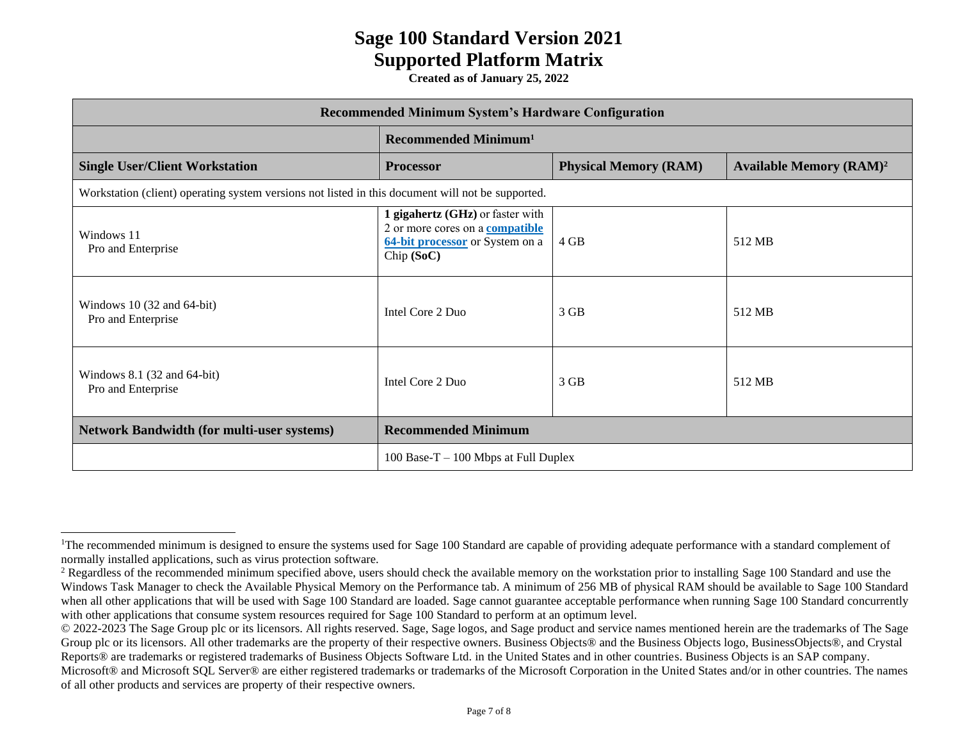| <b>Recommended Minimum System's Hardware Configuration</b>                                        |                                                                                                                             |                              |                                           |  |
|---------------------------------------------------------------------------------------------------|-----------------------------------------------------------------------------------------------------------------------------|------------------------------|-------------------------------------------|--|
|                                                                                                   | Recommended Minimum <sup>1</sup>                                                                                            |                              |                                           |  |
| <b>Single User/Client Workstation</b>                                                             | <b>Processor</b>                                                                                                            | <b>Physical Memory (RAM)</b> | <b>Available Memory (RAM)<sup>2</sup></b> |  |
| Workstation (client) operating system versions not listed in this document will not be supported. |                                                                                                                             |                              |                                           |  |
| Windows 11<br>Pro and Enterprise                                                                  | 1 gigahertz (GHz) or faster with<br>2 or more cores on a <b>compatible</b><br>64-bit processor or System on a<br>Chip (SoC) | 4 GB                         | 512 MB                                    |  |
| Windows $10(32 \text{ and } 64-\text{bit})$<br>Pro and Enterprise                                 | Intel Core 2 Duo                                                                                                            | $3$ GB                       | 512 MB                                    |  |
| Windows 8.1 (32 and 64-bit)<br>Pro and Enterprise                                                 | Intel Core 2 Duo                                                                                                            | 3 GB                         | 512 MB                                    |  |
| <b>Network Bandwidth (for multi-user systems)</b>                                                 | <b>Recommended Minimum</b>                                                                                                  |                              |                                           |  |
|                                                                                                   | 100 Base-T $-$ 100 Mbps at Full Duplex                                                                                      |                              |                                           |  |

<sup>&</sup>lt;sup>1</sup>The recommended minimum is designed to ensure the systems used for Sage 100 Standard are capable of providing adequate performance with a standard complement of normally installed applications, such as virus protection software.

<sup>&</sup>lt;sup>2</sup> Regardless of the recommended minimum specified above, users should check the available memory on the workstation prior to installing Sage 100 Standard and use the Windows Task Manager to check the Available Physical Memory on the Performance tab. A minimum of 256 MB of physical RAM should be available to Sage 100 Standard when all other applications that will be used with Sage 100 Standard are loaded. Sage cannot guarantee acceptable performance when running Sage 100 Standard concurrently with other applications that consume system resources required for Sage 100 Standard to perform at an optimum level.

<sup>© 2022-2023</sup> The Sage Group plc or its licensors. All rights reserved. Sage, Sage logos, and Sage product and service names mentioned herein are the trademarks of The Sage Group plc or its licensors. All other trademarks are the property of their respective owners. Business Objects® and the Business Objects logo, BusinessObjects®, and Crystal Reports® are trademarks or registered trademarks of Business Objects Software Ltd. in the United States and in other countries. Business Objects is an SAP company.

Microsoft® and Microsoft SQL Server® are either registered trademarks or trademarks of the Microsoft Corporation in the United States and/or in other countries. The names of all other products and services are property of their respective owners.